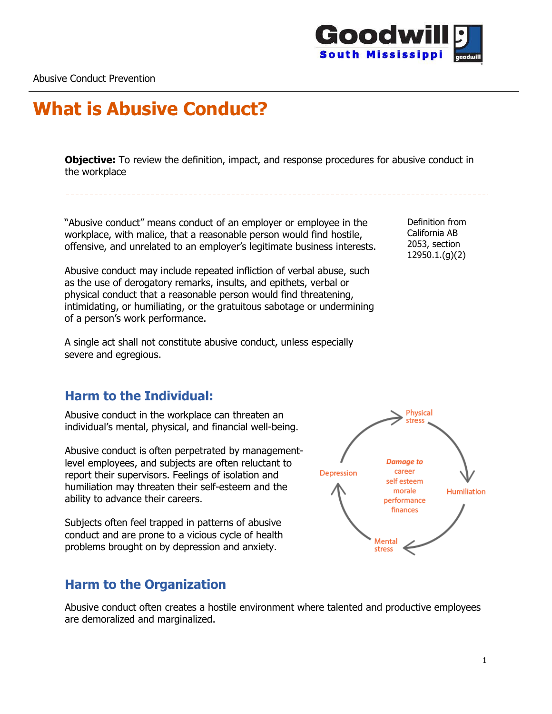

# **What is Abusive Conduct?**

**Objective:** To review the definition, impact, and response procedures for abusive conduct in the workplace

"Abusive conduct" means conduct of an employer or employee in the workplace, with malice, that a reasonable person would find hostile, offensive, and unrelated to an employer's legitimate business interests.

Abusive conduct may include repeated infliction of verbal abuse, such as the use of derogatory remarks, insults, and epithets, verbal or physical conduct that a reasonable person would find threatening, intimidating, or humiliating, or the gratuitous sabotage or undermining of a person's work performance.

A single act shall not constitute abusive conduct, unless especially severe and egregious.

#### **Harm to the Individual:**

Abusive conduct in the workplace can threaten an individual's mental, physical, and financial well-being.

Abusive conduct is often perpetrated by managementlevel employees, and subjects are often reluctant to report their supervisors. Feelings of isolation and humiliation may threaten their self-esteem and the ability to advance their careers.

Subjects often feel trapped in patterns of abusive conduct and are prone to a vicious cycle of health problems brought on by depression and anxiety.

#### **Harm to the Organization**

Abusive conduct often creates a hostile environment where talented and productive employees are demoralized and marginalized.

Definition from California AB 2053, section 12950.1.(g)(2)

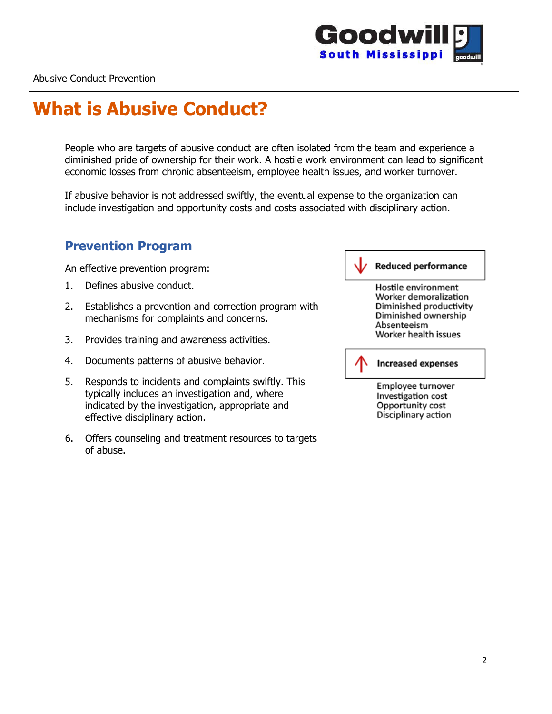

# **What is Abusive Conduct?**

People who are targets of abusive conduct are often isolated from the team and experience a diminished pride of ownership for their work. A hostile work environment can lead to significant economic losses from chronic absenteeism, employee health issues, and worker turnover.

If abusive behavior is not addressed swiftly, the eventual expense to the organization can include investigation and opportunity costs and costs associated with disciplinary action.

#### **Prevention Program**

An effective prevention program:

- 1. Defines abusive conduct.
- 2. Establishes a prevention and correction program with mechanisms for complaints and concerns.
- 3. Provides training and awareness activities.
- 4. Documents patterns of abusive behavior.
- 5. Responds to incidents and complaints swiftly. This typically includes an investigation and, where indicated by the investigation, appropriate and effective disciplinary action.
- 6. Offers counseling and treatment resources to targets of abuse.

**Reduced performance** Hostile environment Worker demoralization Diminished productivity Diminished ownership Absenteeism Worker health issues



Employee turnover Investigation cost Opportunity cost Disciplinary action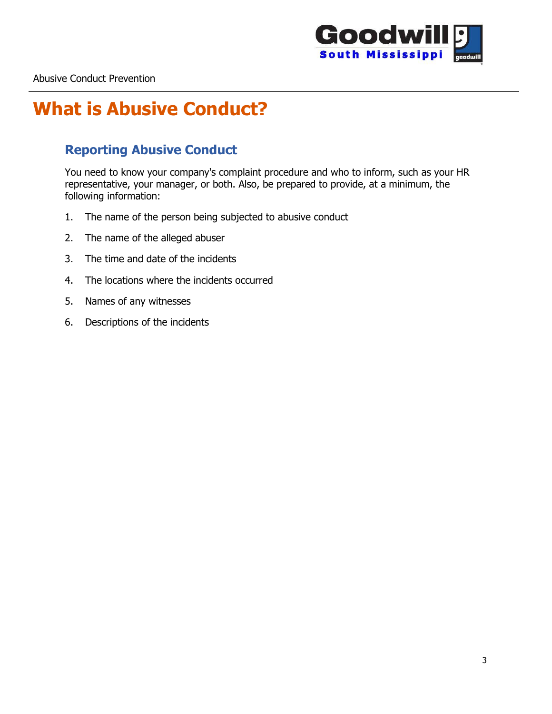

## **What is Abusive Conduct?**

### **Reporting Abusive Conduct**

You need to know your company's complaint procedure and who to inform, such as your HR representative, your manager, or both. Also, be prepared to provide, at a minimum, the following information:

- 1. The name of the person being subjected to abusive conduct
- 2. The name of the alleged abuser
- 3. The time and date of the incidents
- 4. The locations where the incidents occurred
- 5. Names of any witnesses
- 6. Descriptions of the incidents